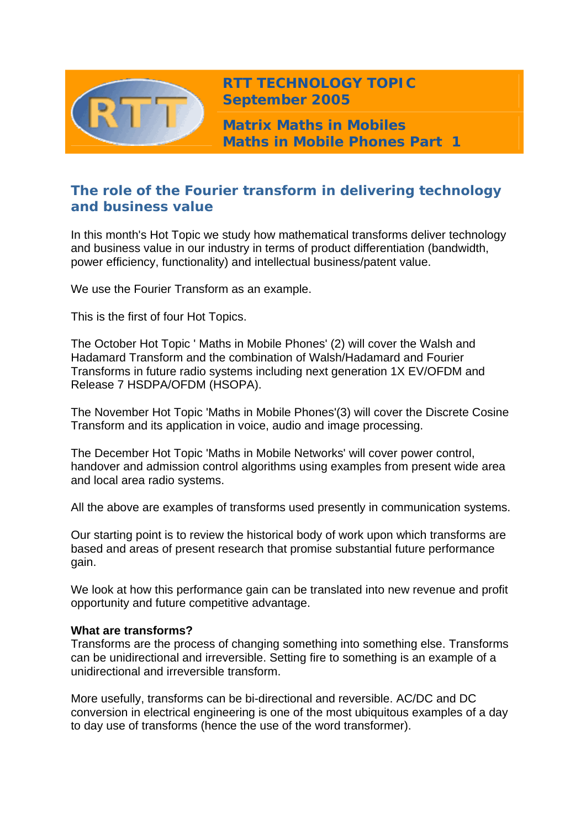

**RTT TECHNOLOGY TOPIC September 2005**

**Matrix Maths in Mobiles Maths in Mobile Phones Part 1** 

# **The role of the Fourier transform in delivering technology and business value**

In this month's Hot Topic we study how mathematical transforms deliver technology and business value in our industry in terms of product differentiation (bandwidth, power efficiency, functionality) and intellectual business/patent value.

We use the Fourier Transform as an example.

This is the first of four Hot Topics.

The October Hot Topic ' Maths in Mobile Phones' (2) will cover the Walsh and Hadamard Transform and the combination of Walsh/Hadamard and Fourier Transforms in future radio systems including next generation 1X EV/OFDM and Release 7 HSDPA/OFDM (HSOPA).

The November Hot Topic 'Maths in Mobile Phones'(3) will cover the Discrete Cosine Transform and its application in voice, audio and image processing.

The December Hot Topic 'Maths in Mobile Networks' will cover power control, handover and admission control algorithms using examples from present wide area and local area radio systems.

All the above are examples of transforms used presently in communication systems.

Our starting point is to review the historical body of work upon which transforms are based and areas of present research that promise substantial future performance gain.

We look at how this performance gain can be translated into new revenue and profit opportunity and future competitive advantage.

# **What are transforms?**

Transforms are the process of changing something into something else. Transforms can be unidirectional and irreversible. Setting fire to something is an example of a unidirectional and irreversible transform.

More usefully, transforms can be bi-directional and reversible. AC/DC and DC conversion in electrical engineering is one of the most ubiquitous examples of a day to day use of transforms (hence the use of the word transformer).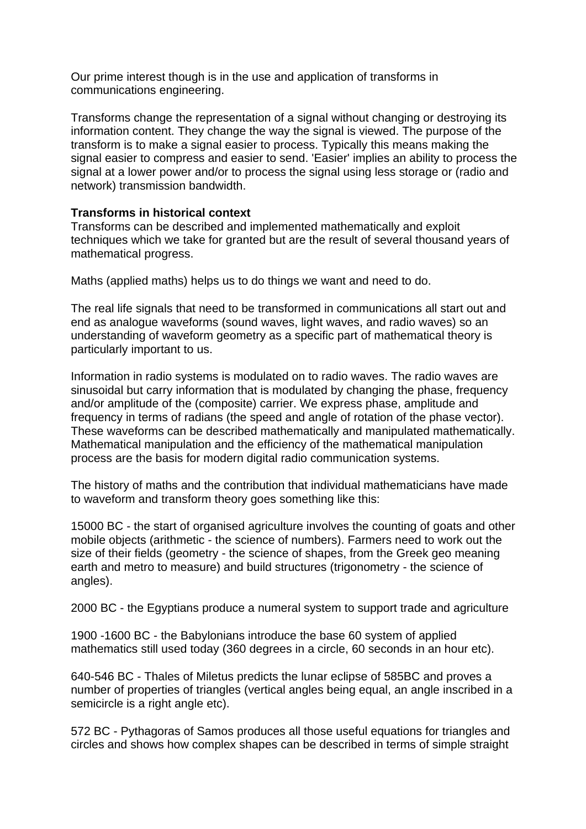Our prime interest though is in the use and application of transforms in communications engineering.

Transforms change the representation of a signal without changing or destroying its information content. They change the way the signal is viewed. The purpose of the transform is to make a signal easier to process. Typically this means making the signal easier to compress and easier to send. 'Easier' implies an ability to process the signal at a lower power and/or to process the signal using less storage or (radio and network) transmission bandwidth.

### **Transforms in historical context**

Transforms can be described and implemented mathematically and exploit techniques which we take for granted but are the result of several thousand years of mathematical progress.

Maths (applied maths) helps us to do things we want and need to do.

The real life signals that need to be transformed in communications all start out and end as analogue waveforms (sound waves, light waves, and radio waves) so an understanding of waveform geometry as a specific part of mathematical theory is particularly important to us.

Information in radio systems is modulated on to radio waves. The radio waves are sinusoidal but carry information that is modulated by changing the phase, frequency and/or amplitude of the (composite) carrier. We express phase, amplitude and frequency in terms of radians (the speed and angle of rotation of the phase vector). These waveforms can be described mathematically and manipulated mathematically. Mathematical manipulation and the efficiency of the mathematical manipulation process are the basis for modern digital radio communication systems.

The history of maths and the contribution that individual mathematicians have made to waveform and transform theory goes something like this:

15000 BC - the start of organised agriculture involves the counting of goats and other mobile objects (arithmetic - the science of numbers). Farmers need to work out the size of their fields (geometry - the science of shapes, from the Greek geo meaning earth and metro to measure) and build structures (trigonometry - the science of angles).

2000 BC - the Egyptians produce a numeral system to support trade and agriculture

1900 -1600 BC - the Babylonians introduce the base 60 system of applied mathematics still used today (360 degrees in a circle, 60 seconds in an hour etc).

640-546 BC - Thales of Miletus predicts the lunar eclipse of 585BC and proves a number of properties of triangles (vertical angles being equal, an angle inscribed in a semicircle is a right angle etc).

572 BC - Pythagoras of Samos produces all those useful equations for triangles and circles and shows how complex shapes can be described in terms of simple straight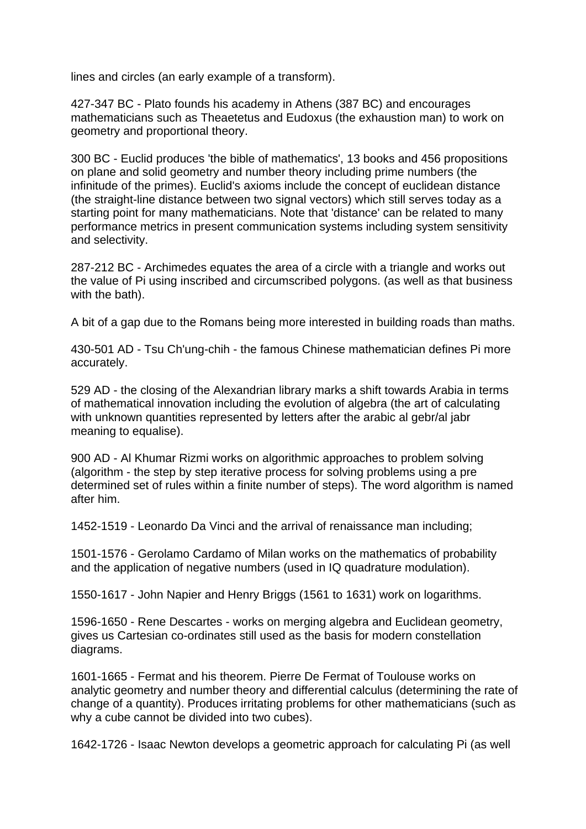lines and circles (an early example of a transform).

427-347 BC - Plato founds his academy in Athens (387 BC) and encourages mathematicians such as Theaetetus and Eudoxus (the exhaustion man) to work on geometry and proportional theory.

300 BC - Euclid produces 'the bible of mathematics', 13 books and 456 propositions on plane and solid geometry and number theory including prime numbers (the infinitude of the primes). Euclid's axioms include the concept of euclidean distance (the straight-line distance between two signal vectors) which still serves today as a starting point for many mathematicians. Note that 'distance' can be related to many performance metrics in present communication systems including system sensitivity and selectivity.

287-212 BC - Archimedes equates the area of a circle with a triangle and works out the value of Pi using inscribed and circumscribed polygons. (as well as that business with the bath).

A bit of a gap due to the Romans being more interested in building roads than maths.

430-501 AD - Tsu Ch'ung-chih - the famous Chinese mathematician defines Pi more accurately.

529 AD - the closing of the Alexandrian library marks a shift towards Arabia in terms of mathematical innovation including the evolution of algebra (the art of calculating with unknown quantities represented by letters after the arabic al gebr/al jabr meaning to equalise).

900 AD - Al Khumar Rizmi works on algorithmic approaches to problem solving (algorithm - the step by step iterative process for solving problems using a pre determined set of rules within a finite number of steps). The word algorithm is named after him.

1452-1519 - Leonardo Da Vinci and the arrival of renaissance man including;

1501-1576 - Gerolamo Cardamo of Milan works on the mathematics of probability and the application of negative numbers (used in IQ quadrature modulation).

1550-1617 - John Napier and Henry Briggs (1561 to 1631) work on logarithms.

1596-1650 - Rene Descartes - works on merging algebra and Euclidean geometry, gives us Cartesian co-ordinates still used as the basis for modern constellation diagrams.

1601-1665 - Fermat and his theorem. Pierre De Fermat of Toulouse works on analytic geometry and number theory and differential calculus (determining the rate of change of a quantity). Produces irritating problems for other mathematicians (such as why a cube cannot be divided into two cubes).

1642-1726 - Isaac Newton develops a geometric approach for calculating Pi (as well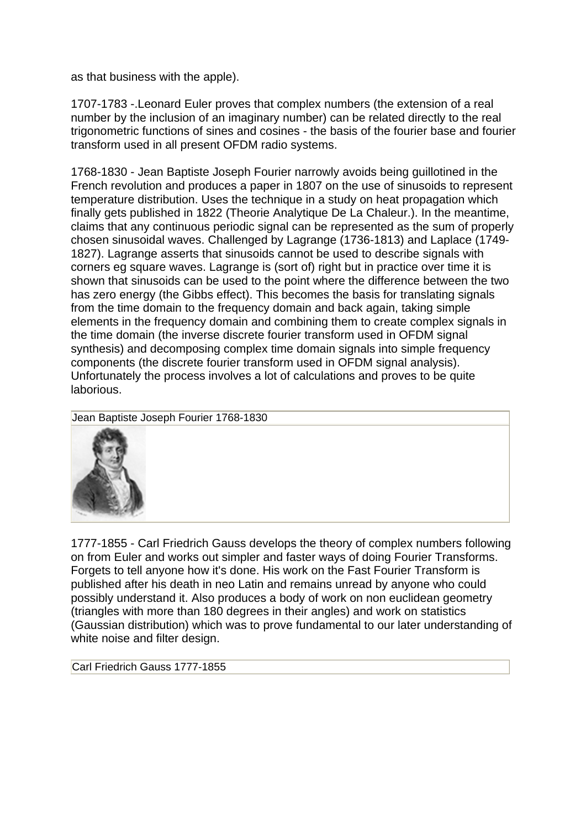as that business with the apple).

1707-1783 -.Leonard Euler proves that complex numbers (the extension of a real number by the inclusion of an imaginary number) can be related directly to the real trigonometric functions of sines and cosines - the basis of the fourier base and fourier transform used in all present OFDM radio systems.

1768-1830 - Jean Baptiste Joseph Fourier narrowly avoids being guillotined in the French revolution and produces a paper in 1807 on the use of sinusoids to represent temperature distribution. Uses the technique in a study on heat propagation which finally gets published in 1822 (Theorie Analytique De La Chaleur.). In the meantime, claims that any continuous periodic signal can be represented as the sum of properly chosen sinusoidal waves. Challenged by Lagrange (1736-1813) and Laplace (1749- 1827). Lagrange asserts that sinusoids cannot be used to describe signals with corners eg square waves. Lagrange is (sort of) right but in practice over time it is shown that sinusoids can be used to the point where the difference between the two has zero energy (the Gibbs effect). This becomes the basis for translating signals from the time domain to the frequency domain and back again, taking simple elements in the frequency domain and combining them to create complex signals in the time domain (the inverse discrete fourier transform used in OFDM signal synthesis) and decomposing complex time domain signals into simple frequency components (the discrete fourier transform used in OFDM signal analysis). Unfortunately the process involves a lot of calculations and proves to be quite laborious.



1777-1855 - Carl Friedrich Gauss develops the theory of complex numbers following on from Euler and works out simpler and faster ways of doing Fourier Transforms. Forgets to tell anyone how it's done. His work on the Fast Fourier Transform is published after his death in neo Latin and remains unread by anyone who could possibly understand it. Also produces a body of work on non euclidean geometry (triangles with more than 180 degrees in their angles) and work on statistics (Gaussian distribution) which was to prove fundamental to our later understanding of white noise and filter design.

Carl Friedrich Gauss 1777-1855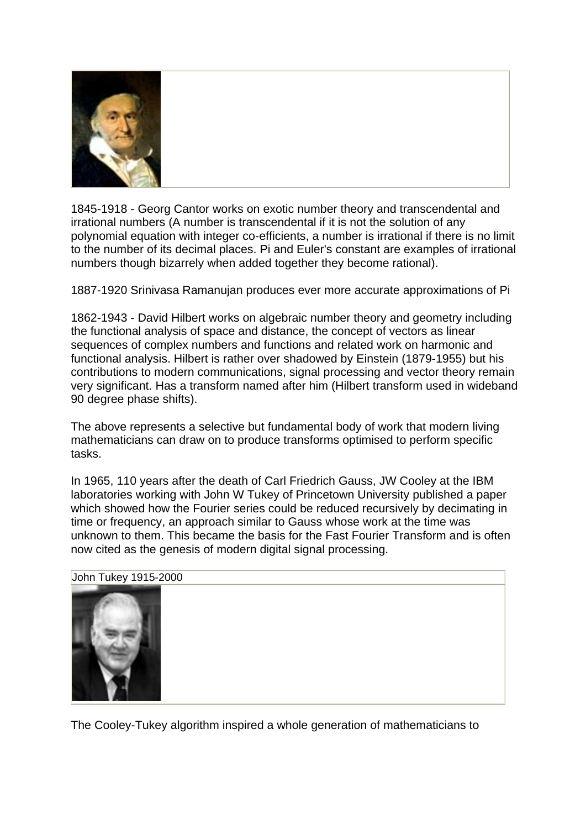

1845-1918 - Georg Cantor works on exotic number theory and transcendental and irrational numbers (A number is transcendental if it is not the solution of any polynomial equation with integer co-efficients, a number is irrational if there is no limit to the number of its decimal places. Pi and Euler's constant are examples of irrational numbers though bizarrely when added together they become rational).

1887-1920 Srinivasa Ramanujan produces ever more accurate approximations of Pi

1862-1943 - David Hilbert works on algebraic number theory and geometry including the functional analysis of space and distance, the concept of vectors as linear sequences of complex numbers and functions and related work on harmonic and functional analysis. Hilbert is rather over shadowed by Einstein (1879-1955) but his contributions to modern communications, signal processing and vector theory remain very significant. Has a transform named after him (Hilbert transform used in wideband 90 degree phase shifts).

The above represents a selective but fundamental body of work that modern living mathematicians can draw on to produce transforms optimised to perform specific tasks.

In 1965, 110 years after the death of Carl Friedrich Gauss, JW Cooley at the IBM laboratories working with John W Tukey of Princetown University published a paper which showed how the Fourier series could be reduced recursively by decimating in time or frequency, an approach similar to Gauss whose work at the time was unknown to them. This became the basis for the Fast Fourier Transform and is often now cited as the genesis of modern digital signal processing.



The Cooley-Tukey algorithm inspired a whole generation of mathematicians to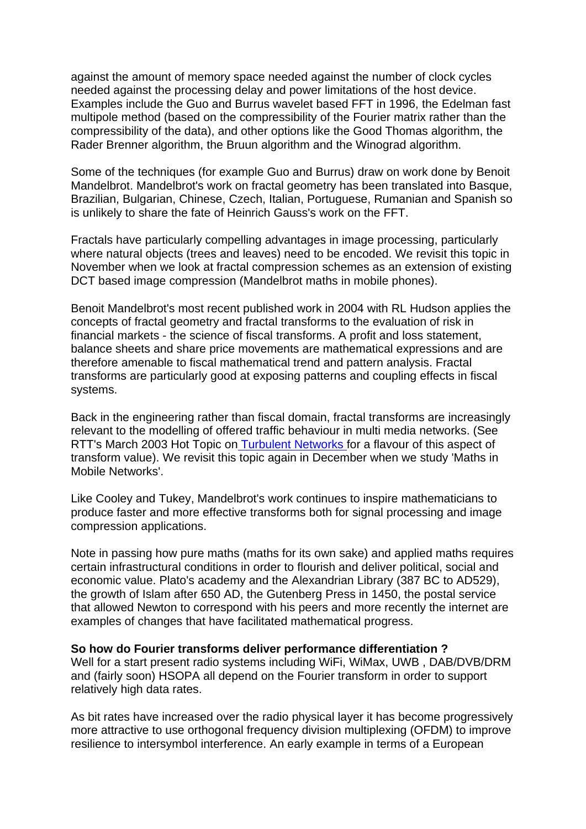against the amount of memory space needed against the number of clock cycles needed against the processing delay and power limitations of the host device. Examples include the Guo and Burrus wavelet based FFT in 1996, the Edelman fast multipole method (based on the compressibility of the Fourier matrix rather than the compressibility of the data), and other options like the Good Thomas algorithm, the Rader Brenner algorithm, the Bruun algorithm and the Winograd algorithm.

Some of the techniques (for example Guo and Burrus) draw on work done by Benoit Mandelbrot. Mandelbrot's work on fractal geometry has been translated into Basque, Brazilian, Bulgarian, Chinese, Czech, Italian, Portuguese, Rumanian and Spanish so is unlikely to share the fate of Heinrich Gauss's work on the FFT.

Fractals have particularly compelling advantages in image processing, particularly where natural objects (trees and leaves) need to be encoded. We revisit this topic in November when we look at fractal compression schemes as an extension of existing DCT based image compression (Mandelbrot maths in mobile phones).

Benoit Mandelbrot's most recent published work in 2004 with RL Hudson applies the concepts of fractal geometry and fractal transforms to the evaluation of risk in financial markets - the science of fiscal transforms. A profit and loss statement, balance sheets and share price movements are mathematical expressions and are therefore amenable to fiscal mathematical trend and pattern analysis. Fractal transforms are particularly good at exposing patterns and coupling effects in fiscal systems.

Back in the engineering rather than fiscal domain, fractal transforms are increasingly relevant to the modelling of offered traffic behaviour in multi media networks. (See RTT's March 2003 Hot Topic on [Turbulent Networks](http://www.rttonline.com/HotTopics/HT_Mar03.htm) for a flavour of this aspect of transform value). We revisit this topic again in December when we study 'Maths in Mobile Networks'.

Like Cooley and Tukey, Mandelbrot's work continues to inspire mathematicians to produce faster and more effective transforms both for signal processing and image compression applications.

Note in passing how pure maths (maths for its own sake) and applied maths requires certain infrastructural conditions in order to flourish and deliver political, social and economic value. Plato's academy and the Alexandrian Library (387 BC to AD529), the growth of Islam after 650 AD, the Gutenberg Press in 1450, the postal service that allowed Newton to correspond with his peers and more recently the internet are examples of changes that have facilitated mathematical progress.

**So how do Fourier transforms deliver performance differentiation ?** Well for a start present radio systems including WiFi, WiMax, UWB , DAB/DVB/DRM and (fairly soon) HSOPA all depend on the Fourier transform in order to support relatively high data rates.

As bit rates have increased over the radio physical layer it has become progressively more attractive to use orthogonal frequency division multiplexing (OFDM) to improve resilience to intersymbol interference. An early example in terms of a European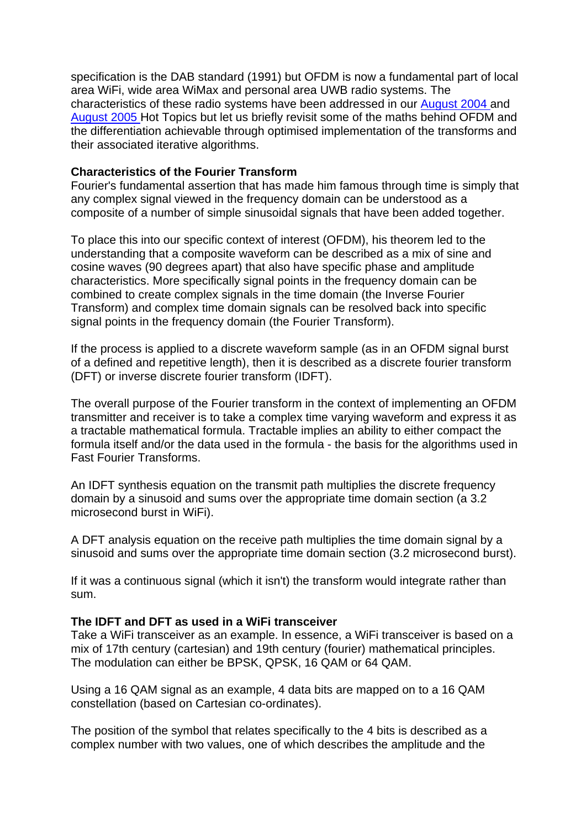specification is the DAB standard (1991) but OFDM is now a fundamental part of local area WiFi, wide area WiMax and personal area UWB radio systems. The characteristics of these radio systems have been addressed in our [August 2004](http://www.rttonline.com/HotTopics/HT_Aug04.htm) and [August 2005 H](http://www.rttonline.com/HotTopics/HT_aug05.htm)ot Topics but let us briefly revisit some of the maths behind OFDM and the differentiation achievable through optimised implementation of the transforms and their associated iterative algorithms.

### **Characteristics of the Fourier Transform**

Fourier's fundamental assertion that has made him famous through time is simply that any complex signal viewed in the frequency domain can be understood as a composite of a number of simple sinusoidal signals that have been added together.

To place this into our specific context of interest (OFDM), his theorem led to the understanding that a composite waveform can be described as a mix of sine and cosine waves (90 degrees apart) that also have specific phase and amplitude characteristics. More specifically signal points in the frequency domain can be combined to create complex signals in the time domain (the Inverse Fourier Transform) and complex time domain signals can be resolved back into specific signal points in the frequency domain (the Fourier Transform).

If the process is applied to a discrete waveform sample (as in an OFDM signal burst of a defined and repetitive length), then it is described as a discrete fourier transform (DFT) or inverse discrete fourier transform (IDFT).

The overall purpose of the Fourier transform in the context of implementing an OFDM transmitter and receiver is to take a complex time varying waveform and express it as a tractable mathematical formula. Tractable implies an ability to either compact the formula itself and/or the data used in the formula - the basis for the algorithms used in Fast Fourier Transforms.

An IDFT synthesis equation on the transmit path multiplies the discrete frequency domain by a sinusoid and sums over the appropriate time domain section (a 3.2 microsecond burst in WiFi).

A DFT analysis equation on the receive path multiplies the time domain signal by a sinusoid and sums over the appropriate time domain section (3.2 microsecond burst).

If it was a continuous signal (which it isn't) the transform would integrate rather than sum.

#### **The IDFT and DFT as used in a WiFi transceiver**

Take a WiFi transceiver as an example. In essence, a WiFi transceiver is based on a mix of 17th century (cartesian) and 19th century (fourier) mathematical principles. The modulation can either be BPSK, QPSK, 16 QAM or 64 QAM.

Using a 16 QAM signal as an example, 4 data bits are mapped on to a 16 QAM constellation (based on Cartesian co-ordinates).

The position of the symbol that relates specifically to the 4 bits is described as a complex number with two values, one of which describes the amplitude and the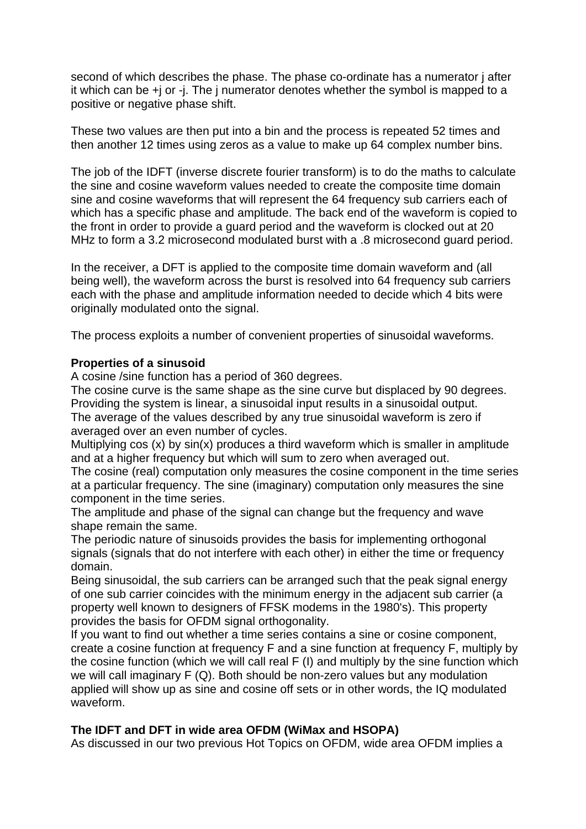second of which describes the phase. The phase co-ordinate has a numerator j after it which can be +j or -j. The j numerator denotes whether the symbol is mapped to a positive or negative phase shift.

These two values are then put into a bin and the process is repeated 52 times and then another 12 times using zeros as a value to make up 64 complex number bins.

The job of the IDFT (inverse discrete fourier transform) is to do the maths to calculate the sine and cosine waveform values needed to create the composite time domain sine and cosine waveforms that will represent the 64 frequency sub carriers each of which has a specific phase and amplitude. The back end of the waveform is copied to the front in order to provide a guard period and the waveform is clocked out at 20 MHz to form a 3.2 microsecond modulated burst with a .8 microsecond guard period.

In the receiver, a DFT is applied to the composite time domain waveform and (all being well), the waveform across the burst is resolved into 64 frequency sub carriers each with the phase and amplitude information needed to decide which 4 bits were originally modulated onto the signal.

The process exploits a number of convenient properties of sinusoidal waveforms.

# **Properties of a sinusoid**

A cosine /sine function has a period of 360 degrees.

The cosine curve is the same shape as the sine curve but displaced by 90 degrees. Providing the system is linear, a sinusoidal input results in a sinusoidal output. The average of the values described by any true sinusoidal waveform is zero if averaged over an even number of cycles.

Multiplying cos (x) by sin(x) produces a third waveform which is smaller in amplitude and at a higher frequency but which will sum to zero when averaged out.

The cosine (real) computation only measures the cosine component in the time series at a particular frequency. The sine (imaginary) computation only measures the sine component in the time series.

The amplitude and phase of the signal can change but the frequency and wave shape remain the same.

The periodic nature of sinusoids provides the basis for implementing orthogonal signals (signals that do not interfere with each other) in either the time or frequency domain.

Being sinusoidal, the sub carriers can be arranged such that the peak signal energy of one sub carrier coincides with the minimum energy in the adjacent sub carrier (a property well known to designers of FFSK modems in the 1980's). This property provides the basis for OFDM signal orthogonality.

If you want to find out whether a time series contains a sine or cosine component, create a cosine function at frequency F and a sine function at frequency F, multiply by the cosine function (which we will call real F (I) and multiply by the sine function which we will call imaginary F (Q). Both should be non-zero values but any modulation applied will show up as sine and cosine off sets or in other words, the IQ modulated waveform.

# **The IDFT and DFT in wide area OFDM (WiMax and HSOPA)**

As discussed in our two previous Hot Topics on OFDM, wide area OFDM implies a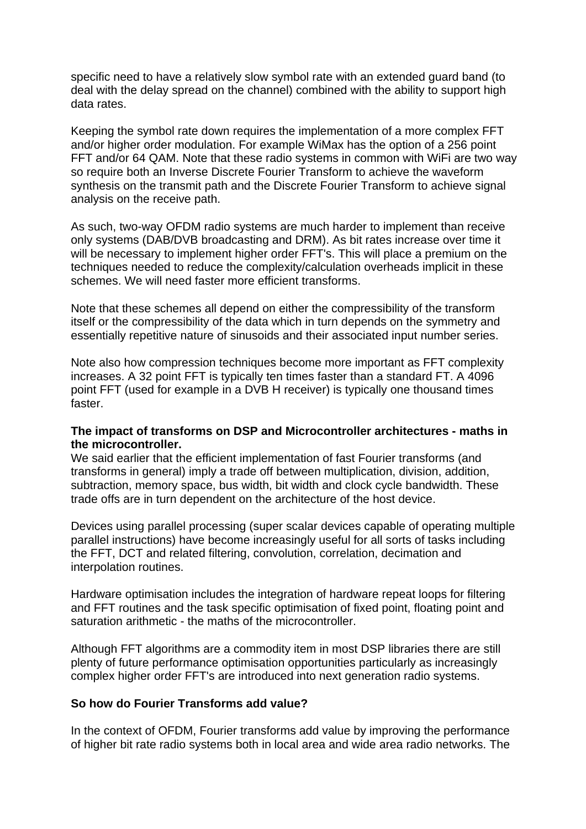specific need to have a relatively slow symbol rate with an extended guard band (to deal with the delay spread on the channel) combined with the ability to support high data rates.

Keeping the symbol rate down requires the implementation of a more complex FFT and/or higher order modulation. For example WiMax has the option of a 256 point FFT and/or 64 QAM. Note that these radio systems in common with WiFi are two way so require both an Inverse Discrete Fourier Transform to achieve the waveform synthesis on the transmit path and the Discrete Fourier Transform to achieve signal analysis on the receive path.

As such, two-way OFDM radio systems are much harder to implement than receive only systems (DAB/DVB broadcasting and DRM). As bit rates increase over time it will be necessary to implement higher order FFT's. This will place a premium on the techniques needed to reduce the complexity/calculation overheads implicit in these schemes. We will need faster more efficient transforms.

Note that these schemes all depend on either the compressibility of the transform itself or the compressibility of the data which in turn depends on the symmetry and essentially repetitive nature of sinusoids and their associated input number series.

Note also how compression techniques become more important as FFT complexity increases. A 32 point FFT is typically ten times faster than a standard FT. A 4096 point FFT (used for example in a DVB H receiver) is typically one thousand times faster.

# **The impact of transforms on DSP and Microcontroller architectures - maths in the microcontroller.**

We said earlier that the efficient implementation of fast Fourier transforms (and transforms in general) imply a trade off between multiplication, division, addition, subtraction, memory space, bus width, bit width and clock cycle bandwidth. These trade offs are in turn dependent on the architecture of the host device.

Devices using parallel processing (super scalar devices capable of operating multiple parallel instructions) have become increasingly useful for all sorts of tasks including the FFT, DCT and related filtering, convolution, correlation, decimation and interpolation routines.

Hardware optimisation includes the integration of hardware repeat loops for filtering and FFT routines and the task specific optimisation of fixed point, floating point and saturation arithmetic - the maths of the microcontroller.

Although FFT algorithms are a commodity item in most DSP libraries there are still plenty of future performance optimisation opportunities particularly as increasingly complex higher order FFT's are introduced into next generation radio systems.

# **So how do Fourier Transforms add value?**

In the context of OFDM, Fourier transforms add value by improving the performance of higher bit rate radio systems both in local area and wide area radio networks. The